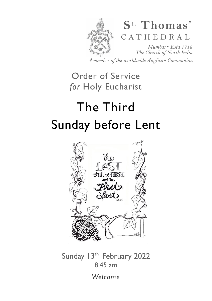

*A member of the worldwide Anglican Communion* 

## Order of Service *for* Holy Eucharist

# The Third Sunday before Lent



Sunday 13<sup>th</sup> February 2022 8.45 am

*Welcome*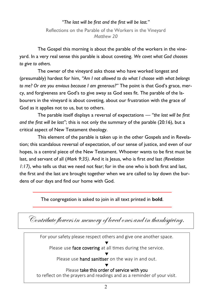#### *"The last will be first and the first will be last."*

Reflections on the Parable of the Workers in the Vineyard *Matthew 20* 

 The Gospel this morning is about the parable of the workers in the vineyard. In a very real sense this parable is about coveting. *We covet what God chooses to give to others*.

 The owner of the vineyard asks those who have worked longest and (presumably) hardest for him, *"Am I not allowed to do what I choose with what belongs to me? Or are you envious because I am generous?"* The point is that God's grace, mercy, and forgiveness are God's to give away as God sees fit. The parable of the labourers in the vineyard is about coveting, about our frustration with the grace of God as it applies not to us, but to others.

 The parable itself displays a reversal of expectations — *"the last will be first and the first will be last"*; this is not only the summary of the parable (20:16), but a critical aspect of New Testament theology.

 This element of the parable is taken up in the other Gospels and in Revelation; this scandalous reversal of expectation, of our sense of justice, and even of our hopes, is a central piece of the New Testament. Whoever wants to be first must be last, and servant of all (*Mark 9:35)*. And it is Jesus, who is first *and* last *(Revelation 1:17)*, who tells us that we need not fear; for in the one who is both first and last, the first and the last are brought together when we are called to lay down the burdens of our days and find our home with God.

The congregation is asked to join in all text printed in **bold**.

For your safety please respect others and give one another space. ▼ Please use face covering at all times during the service. ▼ Please use **hand sanitiser** on the way in and out. ▼ Contribute flowers in memory of loved ones and in thanksgiving.

Please take this order of service with you to reflect on the prayers and readings and as a reminder of your visit.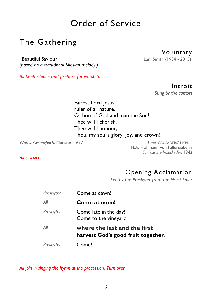### Order of Service

### The Gathering

#### "Beautiful Saviour" Lani Smith (1934 - 2015) *(based on a traditional Silesian melody.)*

### Voluntary

*All keep silence and prepare for worship.* 

Introit

*Sung by the cantors* 

Fairest Lord Jesus, ruler of all nature, O thou of God and man the Son! Thee will I cherish, Thee will I honour, Thou, my soul's glory, joy, and crown!

*Words: Gesangbuch*, Münster, 1677 *Tune:* CRUSADERS' HYMN

H.A. Hoffmann von Fallersieben's *Schlesische Volkslieder*, 1842

#### *All STAND*

### Opening Acclamation

*Led by the Presbyter from the West Door* 

| Presbyter | Come at dawn!                                                      |  |
|-----------|--------------------------------------------------------------------|--|
| All       | Come at noon!                                                      |  |
| Presbyter | Come late in the day!<br>Come to the vineyard,                     |  |
| All       | where the last and the first<br>harvest God's good fruit together. |  |
| Presbyter | Come!                                                              |  |

*All join in singing the hymn at the procession. Turn over.*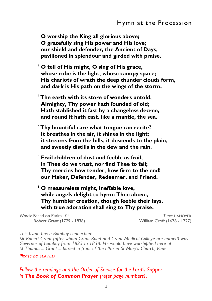**O worship the King all glorious above; O gratefully sing His power and His love; our shield and defender, the Ancient of Days, pavilioned in splendour and girded with praise.** 

- <sup>2</sup> **O tell of His might, O sing of His grace, whose robe is the light, whose canopy space; His chariots of wrath the deep thunder clouds form, and dark is His path on the wings of the storm.**
- <sup>3</sup>**The earth with its store of wonders untold, Almighty, Thy power hath founded of old; Hath stablished it fast by a changeless decree, and round it hath cast, like a mantle, the sea.**
- <sup>4</sup>**Thy bountiful care what tongue can recite? It breathes in the air, it shines in the light; it streams from the hills, it descends to the plain, and sweetly distills in the dew and the rain.**
- <sup>5</sup> **Frail children of dust and feeble as frail, in Thee do we trust, nor find Thee to fail; Thy mercies how tender, how firm to the end! our Maker, Defender, Redeemer, and Friend.**
- <sup>6</sup> **O measureless might, ineffable love, while angels delight to hymn Thee above, Thy humbler creation, though feeble their lays, with true adoration shall sing to Thy praise.**

*Words:* Based on Psalm 104 *Tune:* HANOVER

Robert Grant (1779 - 1838) William Croft (1678 - 1727)

*This hymn has a Bombay connection!* 

*Sir Robert Grant (after whom Grant Road and Grant Medical College are named) was Governor of Bombay from 1835 to 1838. He would have worshipped here at St Thomas's. Grant is buried in front of the altar in St Mary's Church, Pune.*

#### *Please be SEATED*

*Follow the readings and the Order of Service for the Lord's Supper in The Book of Common Prayer (refer page numbers)*.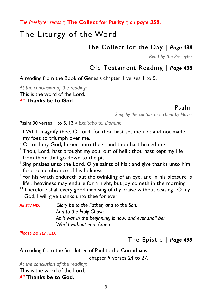*The Presbyter reads* **† The Collect for Purity †** *on page 350.* 

### The Liturgy of the Word

The Collect for the Day | *Page 438* 

*Read by the Presbyter* 

### Old Testament Reading | *Page 438*

A reading from the Book of Genesis chapter 1 verses 1 to 5.

*At the conclusion of the reading:*  This is the word of the Lord. *All* **Thanks be to God***.* 

### Psalm

*Sung by the cantors to a chant by Hayes* 

Psalm 30 verses 1 to 5, 13 ● *Exaltabo te, Domine* 

 I WILL magnify thee, O Lord, for thou hast set me up : and not made my foes to triumph over me.

- $2$  O Lord my God, I cried unto thee : and thou hast healed me.
- $3$  Thou, Lord, hast brought my soul out of hell : thou hast kept my life from them that go down to the pit.
- <sup>4</sup> Sing praises unto the Lord, O ye saints of his : and give thanks unto him for a remembrance of his holiness.
- $5$  For his wrath endureth but the twinkling of an eye, and in his pleasure is life : heaviness may endure for a night, but joy cometh in the morning.
- $13$  Therefore shall every good man sing of thy praise without ceasing : O my God, I will give thanks unto thee for ever.

*All STAND. Glory be to the Father, and to the Son, And to the Holy Ghost; As it was in the beginning, is now, and ever shall be: World without end. Amen.* 

*Please be SEATED.* 

### The Epistle | *Page 438*

A reading from the first letter of Paul to the Corinthians chapter 9 verses 24 to 27.

*At the conclusion of the reading:*  This is the word of the Lord. *All* **Thanks be to God***.*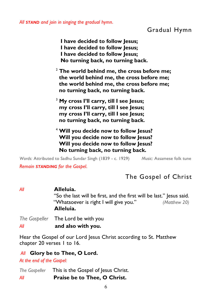Gradual Hymn

 **I have decided to follow Jesus; I have decided to follow Jesus; I have decided to follow Jesus; No turning back, no turning back.** 

- <sup>2</sup> **The world behind me, the cross before me; the world behind me, the cross before me; the world behind me, the cross before me; no turning back, no turning back.**
- <sup>3</sup> **My cross I'll carry, till I see Jesus; my cross I'll carry, till I see Jesus; my cross I'll carry, till I see Jesus; no turning back, no turning back.**
- 4  **Will you decide now to follow Jesus? Will you decide now to follow Jesus? Will you decide now to follow Jesus? No turning back, no turning back.**

*Words:* Attributed to Sadhu Sundar Singh (1839 - c. 1929) *Music:* Assamese folk tune *Remain STANDING for the Gospel.* 

### The Gospel of Christ

| ΑII | Alleluia.                                                            |              |
|-----|----------------------------------------------------------------------|--------------|
|     | "So the last will be first, and the first will be last." Jesus said. |              |
|     | "Whatsoever is right I will give you."<br>Alleluia.                  | (Matthew 20) |
|     | The Gospeller The Lord be with you                                   |              |
| ΑII | and also with you.                                                   |              |

Hear the Gospel of our Lord Jesus Christ according to St. Matthew chapter 20 verses 1 to 16.

#### *All* **Glory be to Thee, O Lord.**

*At the end of the Gospel:* 

*The Gospeller* This is the Gospel of Jesus Christ. *All* **Praise be to Thee, O Christ.**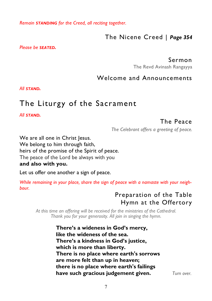*Remain STANDING for the Creed, all reciting together.* 

The Nicene Creed | *Page 354* 

*Please be SEATED.* 

Sermon

The Revd Avinash Rangayya

### Welcome and Announcements

*All STAND.* 

### The Liturgy of the Sacrament

*All STAND.*

### The Peace

*The Celebrant offers a greeting of peace.* 

We are all one in Christ Jesus. We belong to him through faith, heirs of the promise of the Spirit of peace. The peace of the Lord be always with you **and also with you.** 

Let us offer one another a sign of peace.

*While remaining in your place, share the sign of peace with a namaste with your neighbour.* 

### Preparation of the Table Hymn at the Offertory

*At this time an offering will be received for the ministries of the Cathedral. Thank you for your generosity. All join in singing the hymn.* 

> **There's a wideness in God's mercy, like the wideness of the sea. There's a kindness in God's justice, which is more than liberty. There is no place where earth's sorrows are more felt than up in heaven; there is no place where earth's failings have such gracious judgement given.** *Turn over.*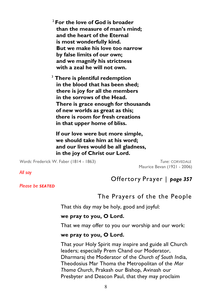<sup>2</sup>**For the love of God is broader than the measure of man's mind; and the heart of the Eternal is most wonderfully kind. But we make his love too narrow by false limits of our own; and we magnify his strictness with a zeal he will not own.** 

<sup>3</sup> **There is plentiful redemption in the blood that has been shed; there is joy for all the members in the sorrows of the Head. There is grace enough for thousands of new worlds as great as this; there is room for fresh creations in that upper home of bliss.** 

**If our love were but more simple, we should take him at his word; and our lives would be all gladness, in the joy of Christ our Lord.** 

*Words:* Frederick W. Faber (1814 - 1863) *Tune:* CORVEDALE

Maurice Bevan (1921 - 2006)

#### *All say*

*Please be SEATED*

### Offertory Prayer | *page 357*

#### The Prayers of the the People

That this day may be holy, good and joyful:

#### **we pray to you, O Lord.**

That we may offer to you our worship and our work:

#### **we pray to you, O Lord.**

That your Holy Spirit may inspire and guide all Church leaders; especially Prem Chand our Moderator, Dharmaraj the Moderator of the *Church of South I*ndia, Theodosius Mar Thoma the Metropolitan of the *Mar Thoma Church*, Prakash our Bishop, Avinash our Presbyter and Deacon Paul, that they may proclaim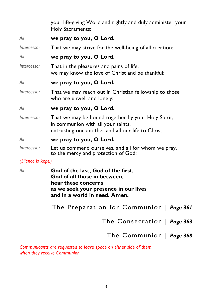your life-giving Word and rightly and duly administer your Holy Sacraments:

- *All* **we pray to you, O Lord.**
- *Intercessor* That we may strive for the well-being of all creation:
- *All* **we pray to you, O Lord.**
- *Intercessor* That in the pleasures and pains of life, we may know the love of Christ and be thankful:
- *All* **we pray to you, O Lord.**
- *Intercessor* That we may reach out in Christian fellowship to those who are unwell and lonely:
- *All* **we pray to you, O Lord.**
- *Intercessor* That we may be bound together by your Holy Spirit, in communion with all your saints, entrusting one another and all our life to Christ:
- *All* **we pray to you, O Lord.**
- *Intercessor* Let us commend ourselves, and all for whom we pray, to the mercy and protection of God:

#### *(Silence is kept.)*

- *All* **God of the last, God of the first, God of all those in between, hear these concerns as we seek your presence in our lives and in a world in need. Amen.**
	- The Preparation for Communion | *Page 361* 
		- The Consecration | *Page 363* 
			- The Communion | *Page 368*

*Communicants are requested to leave space on either side of them when they receive Communion.*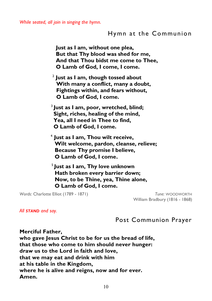### Hymn at the Communion

**Just as I am, without one plea, But that Thy blood was shed for me, And that Thou bidst me come to Thee, O Lamb of God, I come, I come.** 

<sup>2</sup> **Just as I am, though tossed about With many a conflict, many a doubt, Fightings within, and fears without, O Lamb of God, I come.** 

<sup>3</sup>**Just as I am, poor, wretched, blind; Sight, riches, healing of the mind, Yea, all I need in Thee to find, O Lamb of God, I come.** 

<sup>4</sup> **Just as I am, Thou wilt receive, Wilt welcome, pardon, cleanse, relieve; Because Thy promise I believe, O Lamb of God, I come.**

<sup>5</sup>**Just as I am, Thy love unknown Hath broken every barrier down; Now, to be Thine, yea, Thine alone, O Lamb of God, I come.** 

*Words:* Charlotte Elliot (1789 - 1871) *Tune:* WOODWORTH

William Bradbury (1816 - 1868)

#### *All STAND and say.*

### Post Communion Prayer

**Merciful Father, who gave Jesus Christ to be for us the bread of life, that those who come to him should never hunger: draw us to the Lord in faith and love, that we may eat and drink with him at his table in the Kingdom, where he is alive and reigns, now and for ever. Amen.**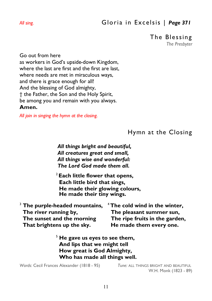### *All sing.* Gloria in Excelsis | *Page 371*

The Blessing

*The Presbyter* 

Go out from here as workers in God's upside-down Kingdom, where the last are first and the first are last, where needs are met in miraculous ways, and there is grace enough for all! And the blessing of God almighty, † the Father, the Son and the Holy Spirit, be among you and remain with you always. **Amen.** 

*All join in singing the hymn at the closing.* 

Hymn at the Closing

 *All things bright and beautiful, All creatures great and small, All things wise and wonderful: The Lord God made them all.*

<sup>2</sup>**Each little flower that opens, Each little bird that sings, He made their glowing colours, He made their tiny wings.** 

| $3$ The purple-headed mountains, | $4$ The cold wind in the winter, |
|----------------------------------|----------------------------------|
| The river running by,            | The pleasant summer sun,         |
| The sunset and the morning       | The ripe fruits in the garden,   |
| That brightens up the sky.       | He made them every one.          |

<sup>5</sup> **He gave us eyes to see them, And lips that we might tell How great is God Almighty, Who has made all things well.** 

*Words:* Cecil Frances Alexander (1818 - 95) *Tune:* ALL THINGS BRIGHT AND BEAUTIFUL

W.H. Monk (1823 - 89)